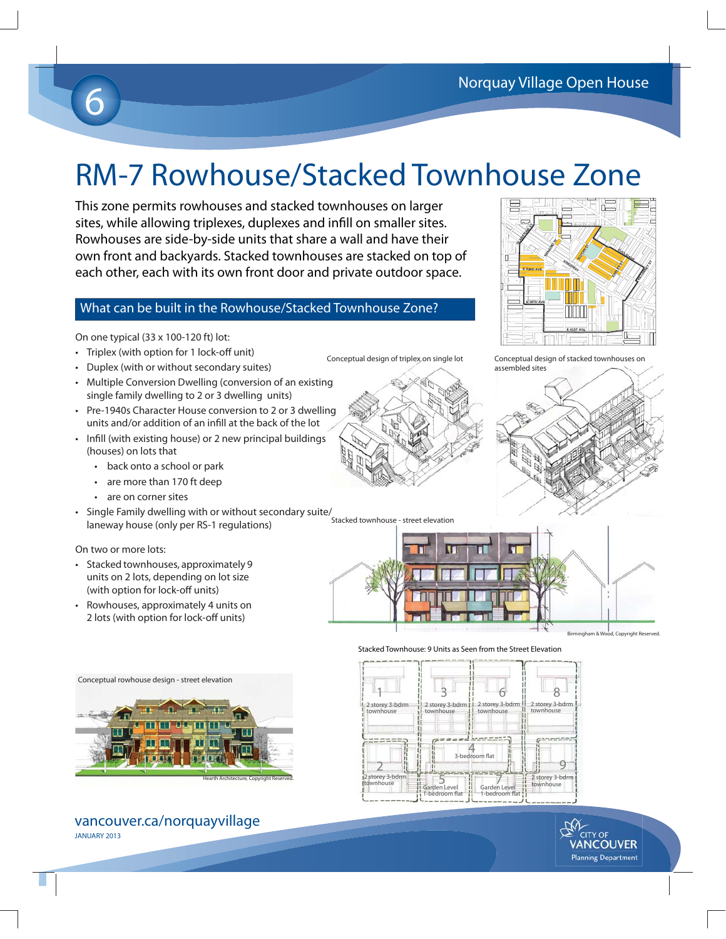# 6

# RM-7 Rowhouse/Stacked Townhouse Zone

This zone permits rowhouses and stacked townhouses on larger sites, while allowing triplexes, duplexes and infill on smaller sites. Rowhouses are side-by-side units that share a wall and have their own front and backyards. Stacked townhouses are stacked on top of each other, each with its own front door and private outdoor space.

### What can be built in the Rowhouse/Stacked Townhouse Zone?

On one typical (33 x 100-120 ft) lot:

- Triplex (with option for 1 lock-off unit)
- Duplex (with or without secondary suites)
- Multiple Conversion Dwelling (conversion of an existing single family dwelling to 2 or 3 dwelling units)
- Pre-1940s Character House conversion to 2 or 3 dwelling units and/or addition of an infill at the back of the lot
- Infill (with existing house) or 2 new principal buildings (houses) on lots that
	- back onto a school or park
	- are more than 170 ft deep
	- are on corner sites
- Single Family dwelling with or without secondary suite/<br>Innovay house (only nor PS 1 requistions) Stacked townhouse street elevation laneway house (only per RS-1 regulations)

#### On two or more lots:

- Stacked townhouses, approximately 9 units on 2 lots, depending on lot size (with option for lock-off units)
- Rowhouses, approximately 4 units on 2 lots (with option for lock-off units)













#### vancouver.ca/norquayvillage JANUARY 2013





Birmingham & Wood, Copyright Reserved.

Conceptual design of triplex on single lot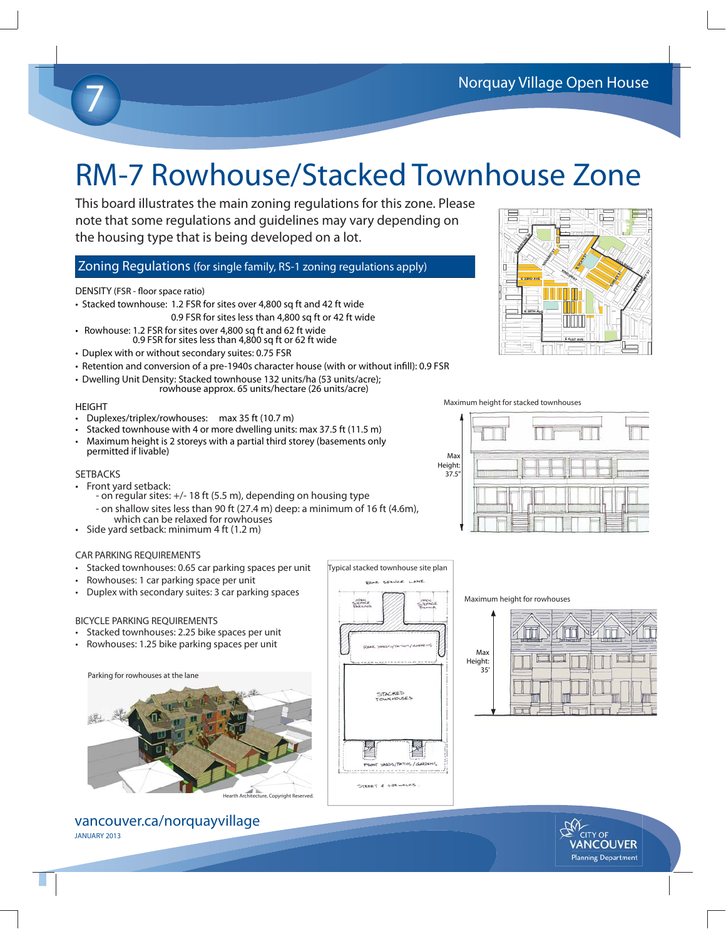### RM-7 Rowhouse/Stacked Townhouse Zone

This board illustrates the main zoning regulations for this zone. Please note that some regulations and guidelines may vary depending on the housing type that is being developed on a lot.

### Zoning Regulations (for single family, RS-1 zoning regulations apply)

#### DENSITY (FSR - floor space ratio)

- Stacked townhouse: 1.2 FSR for sites over 4,800 sq ft and 42 ft wide 0.9 FSR for sites less than 4,800 sq ft or 42 ft wide
- Rowhouse: 1.2 FSR for sites over 4,800 sq ft and 62 ft wide 0.9 FSR for sites less than 4,800 sq ft or 62 ft wide
- Duplex with or without secondary suites: 0.75 FSR
- Retention and conversion of a pre-1940s character house (with or without infill): 0.9 FSR
- Dwelling Unit Density: Stacked townhouse 132 units/ha (53 units/acre); rowhouse approx. 65 units/hectare (26 units/acre)

#### HEIGHT

7

- Duplexes/triplex/rowhouses: max 35 ft (10.7 m)
- Stacked townhouse with 4 or more dwelling units: max 37.5 ft (11.5 m)
- Maximum height is 2 storeys with a partial third storey (basements only permitted if livable)
- Ma Height: 37.5"



- Front yard setback:
	- on regular sites: +/- 18 ft (5.5 m), depending on housing type - on shallow sites less than 90 ft (27.4 m) deep: a minimum of 16 ft (4.6m), which can be relaxed for rowhouses
- Side yard setback: minimum 4 ft (1.2 m)

#### CAR PARKING REQUIREMENTS

- Stacked townhouses: 0.65 car parking spaces per unit
- Rowhouses: 1 car parking space per unit
- Duplex with secondary suites: 3 car parking spaces

#### BICYCLE PARKING REQUIREMENTS

- Stacked townhouses: 2.25 bike spaces per unit
- Rowhouses: 1.25 bike parking spaces per unit



vancouver.ca/norquayvillage JANUARY 2013



Typical stacked townhouse site plan

#### Maximum height for rowhouses







Maximum height for stacked townhouses